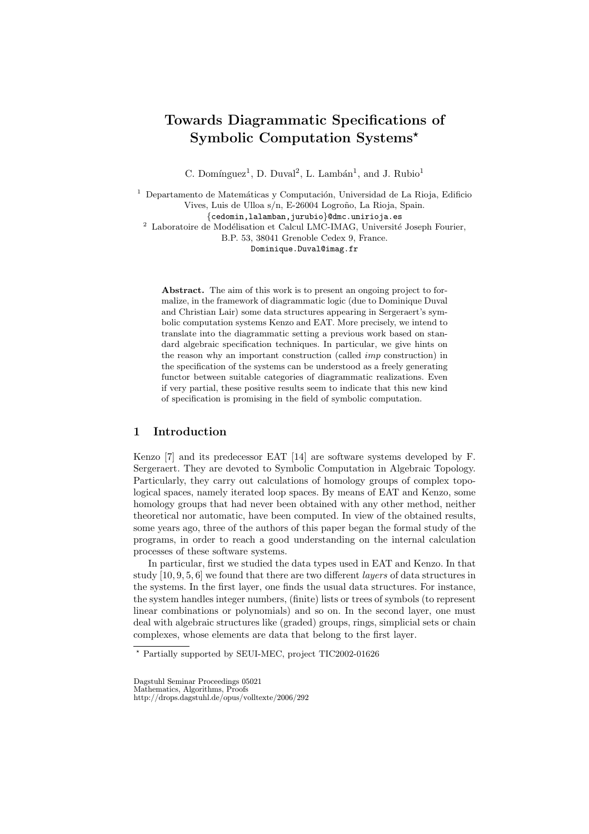# **Towards Diagrammatic Specifications of Symbolic Computation Systems**

C. Domínguez<sup>1</sup>, D. Duval<sup>2</sup>, L. Lambán<sup>1</sup>, and J. Rubio<sup>1</sup>

 $1$  Departamento de Matemáticas y Computación, Universidad de La Rioja, Edificio Vives, Luis de Ulloa s/n, E-26004 Logroño, La Rioja, Spain. {cedomin,lalamban,jurubio}@dmc.unirioja.es  $^2\,$  Laboratoire de Modélisation et Calcul LMC-IMAG, Université Joseph Fourier, B.P. 53, 38041 Grenoble Cedex 9, France.

Dominique.Duval@imag.fr

Abstract. The aim of this work is to present an ongoing project to formalize, in the framework of diagrammatic logic (due to Dominique Duval and Christian Lair) some data structures appearing in Sergeraert's symbolic computation systems Kenzo and EAT. More precisely, we intend to translate into the diagrammatic setting a previous work based on standard algebraic specification techniques. In particular, we give hints on the reason why an important construction (called imp construction) in the specification of the systems can be understood as a freely generating functor between suitable categories of diagrammatic realizations. Even if very partial, these positive results seem to indicate that this new kind of specification is promising in the field of symbolic computation.

# **1 Introduction**

Kenzo [7] and its predecessor EAT [14] are software systems developed by F. Sergeraert. They are devoted to Symbolic Computation in Algebraic Topology. Particularly, they carry out calculations of homology groups of complex topological spaces, namely iterated loop spaces. By means of EAT and Kenzo, some homology groups that had never been obtained with any other method, neither theoretical nor automatic, have been computed. In view of the obtained results, some years ago, three of the authors of this paper began the formal study of the programs, in order to reach a good understanding on the internal calculation processes of these software systems.

In particular, first we studied the data types used in EAT and Kenzo. In that study [10, 9, 5, 6] we found that there are two different *layers* of data structures in the systems. In the first layer, one finds the usual data structures. For instance, the system handles integer numbers, (finite) lists or trees of symbols (to represent linear combinations or polynomials) and so on. In the second layer, one must deal with algebraic structures like (graded) groups, rings, simplicial sets or chain complexes, whose elements are data that belong to the first layer.

Partially supported by SEUI-MEC, project TIC2002-01626

Dagstuhl Seminar Proceedings 05021 Mathematics, Algorithms, Proofs

http://drops.dagstuhl.de/opus/volltexte/2006/292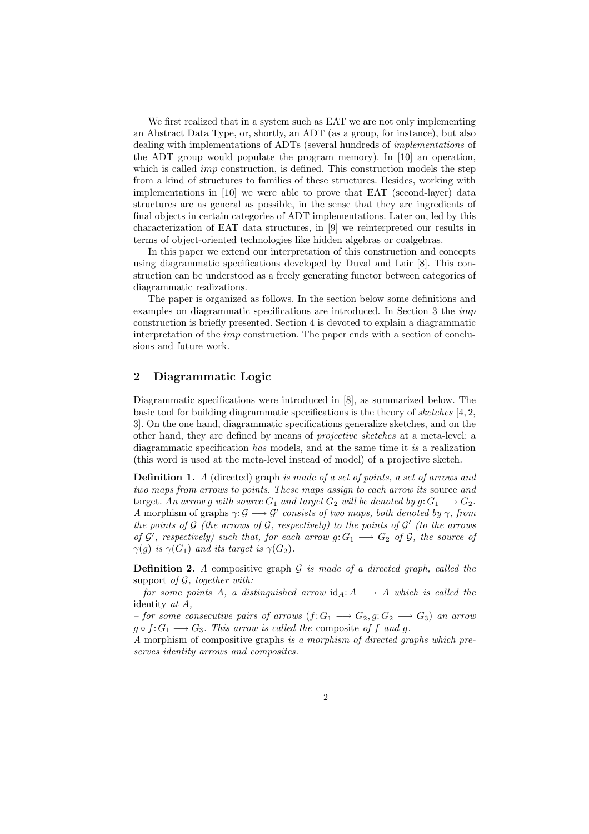We first realized that in a system such as EAT we are not only implementing an Abstract Data Type, or, shortly, an ADT (as a group, for instance), but also dealing with implementations of ADTs (several hundreds of *implementations* of the ADT group would populate the program memory). In [10] an operation, which is called *imp* construction, is defined. This construction models the step from a kind of structures to families of these structures. Besides, working with implementations in [10] we were able to prove that EAT (second-layer) data structures are as general as possible, in the sense that they are ingredients of final objects in certain categories of ADT implementations. Later on, led by this characterization of EAT data structures, in [9] we reinterpreted our results in terms of object-oriented technologies like hidden algebras or coalgebras.

In this paper we extend our interpretation of this construction and concepts using diagrammatic specifications developed by Duval and Lair [8]. This construction can be understood as a freely generating functor between categories of diagrammatic realizations.

The paper is organized as follows. In the section below some definitions and examples on diagrammatic specifications are introduced. In Section 3 the imp construction is briefly presented. Section 4 is devoted to explain a diagrammatic interpretation of the imp construction. The paper ends with a section of conclusions and future work.

# **2 Diagrammatic Logic**

Diagrammatic specifications were introduced in [8], as summarized below. The basic tool for building diagrammatic specifications is the theory of *sketches* [4, 2, 3]. On the one hand, diagrammatic specifications generalize sketches, and on the other hand, they are defined by means of *projective sketches* at a meta-level: a diagrammatic specification *has* models, and at the same time it *is* a realization (this word is used at the meta-level instead of model) of a projective sketch.

**Definition 1.** *A* (directed) graph *is made of a set of points, a set of arrows and two maps from arrows to points. These maps assign to each arrow its* source *and* target. An arrow g with source  $G_1$  and target  $G_2$  will be denoted by  $g: G_1 \longrightarrow G_2$ . *A* morphism of graphs  $\gamma: \mathcal{G} \longrightarrow \mathcal{G}'$  consists of two maps, both denoted by  $\gamma$ , from *the points of*  $G$  *(the arrows of*  $G$ *, respectively) to the points of*  $G'$  *(to the arrows of*  $\mathcal{G}'$ , respectively) such that, for each arrow  $g: G_1 \longrightarrow G_2$  of  $\mathcal{G}$ , the source of  $\gamma(q)$  *is*  $\gamma(G_1)$  *and its target is*  $\gamma(G_2)$ *.* 

**Definition 2.** *A* compositive graph  $G$  *is made of a directed graph, called the* support *of* G*, together with:*

 $-$  for some points A, a distinguished arrow  $id_A: A \longrightarrow A$  which is called the identity *at* A*,*

*– for some consecutive pairs of arrows*  $(f: G_1 \longrightarrow G_2, g: G_2 \longrightarrow G_3)$  *an arrow*  $g \circ f: G_1 \longrightarrow G_3$ . This arrow is called the composite of f and g.

*A* morphism of compositive graphs *is a morphism of directed graphs which preserves identity arrows and composites.*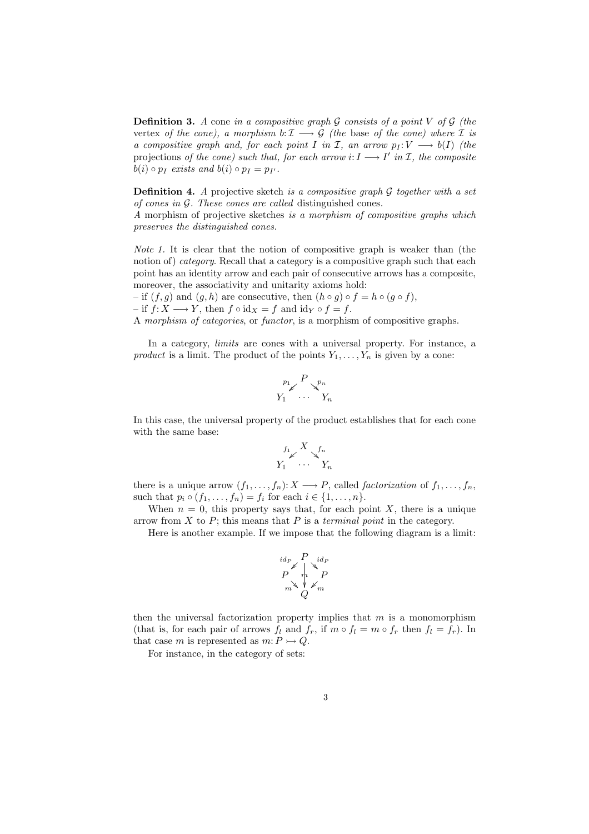**Definition 3.** *A* cone *in a compositive graph* G *consists of a point* V *of* G *(the* vertex *of the cone), a morphism*  $b: I \longrightarrow G$  *(the base of the cone) where* I *is a compositive graph and, for each point* I *in* I, an arrow  $p_I: V \longrightarrow b(I)$  (the projections *of the cone)* such that, for each arrow  $i: I \longrightarrow I'$  in  $I$ , the composite  $b(i) \circ p_I$  *exists and*  $b(i) \circ p_I = p_{I'}$ .

**Definition 4.** *A* projective sketch *is a compositive graph* G *together with a set of cones in* G*. These cones are called* distinguished cones*.*

*A* morphism of projective sketches *is a morphism of compositive graphs which preserves the distinguished cones.*

*Note 1.* It is clear that the notion of compositive graph is weaker than (the notion of) *category*. Recall that a category is a compositive graph such that each point has an identity arrow and each pair of consecutive arrows has a composite, moreover, the associativity and unitarity axioms hold:

– if  $(f, g)$  and  $(g, h)$  are consecutive, then  $(h \circ g) \circ f = h \circ (g \circ f)$ ,  $-$  if  $f: X \longrightarrow Y$ , then  $f \circ id_X = f$  and  $id_Y \circ f = f$ .

A *morphism of categories*, or *functor*, is a morphism of compositive graphs.

In a category, *limits* are cones with a universal property. For instance, a *product* is a limit. The product of the points  $Y_1, \ldots, Y_n$  is given by a cone:

$$
\begin{array}{c} {_{p_1} \! \! \! \! \! \! \! \textrm{ \ \tiny \quad } } \!\!\! \textrm{ \ \tiny \quad } \!\!\! \textrm{ \ \tiny \quad } \!\!\! \textrm{ \ \tiny \quad } \!\!\! \textrm{ \ \tiny \quad } \!\!\! \textrm{ \ \tiny \quad } \!\!\! \textrm{ \ \tiny \quad } \!\!\! \textrm{ \ \tiny \quad } \!\!\! \textrm{ \ \tiny \quad } \!\!\! \textrm{ \ \tiny \quad } \!\!\! \textrm{ \ \tiny \quad } \!\!\! \textrm{ \ \tiny \quad } \!\!\! \textrm{ \ \tiny \quad } \!\!\! \textrm{ \ \tiny \quad } \!\!\! \textrm{ \ \tiny \quad } \!\!\! \textrm{ \ \tiny \quad } \!\!\! \textrm{ \ \tiny \quad } \!\!\! \textrm{ \ \tiny \quad } \!\!\! \textrm{ \ \tiny \quad } \!\!\! \textrm{ \ \tiny \quad } \!\!\! \textrm{ \ \tiny \quad } \!\!\! \textrm{ \ \tiny \quad } \!\!\! \textrm{ \ \tiny \quad } \!\!\! \textrm{ \ \tiny \quad } \!\!\! \textrm{ \ \tiny \quad } \!\!\! \textrm{ \ \tiny \quad } \!\!\! \textrm{ \ \tiny \quad } \!\!\! \textrm{ \ \tiny \quad } \!\!\! \textrm{ \ \tiny \quad } \!\!\! \textrm{ \ \tiny \quad } \!\!\! \textrm{ \ \tiny \quad } \!\!\! \textrm{ \ \tiny \quad } \!\!\! \textrm{ \ \tiny \quad } \!\!\! \textrm{ \ \ \tiny \quad } \!\!\! \textrm{ \ \ \tiny \quad } \!\!\! \textrm{ \ \ \tiny \quad } \!\!\! \textrm{ \ \ \tiny \quad } \!\!\! \textrm{ \ \ \tiny \quad } \!\!\! \textrm{ \ \ \tiny \quad } \!\!\! \textrm{ \ \ \tiny \quad } \!\!\! \textrm{ \ \ \tiny \quad } \!\!\! \textrm{ \ \ \tiny \quad } \!\!\! \textrm{ \ \ \tiny \quad } \!\!\! \textrm{ \ \ \tiny \quad } \!\!\! \textrm{ \ \ \tiny \quad } \!\!\! \textrm{ \ \ \tiny \quad } \!\!\! \textrm{ \ \ \tiny \quad } \!\!\! \textrm{ \ \ \tiny \quad } \
$$

In this case, the universal property of the product establishes that for each cone with the same base:

$$
Y_1 \over Y_1 \over Y_1 \over Y_1 \over Y_n
$$

there is a unique arrow  $(f_1, \ldots, f_n): X \longrightarrow P$ , called *factorization* of  $f_1, \ldots, f_n$ , such that  $p_i \circ (f_1, ..., f_n) = f_i$  for each  $i \in \{1, ..., n\}$ .

When  $n = 0$ , this property says that, for each point X, there is a unique arrow from X to P; this means that P is a *terminal point* in the category.

Here is another example. If we impose that the following diagram is a limit:

$$
\begin{array}{c}\n\stackrel{id_P}{\swarrow} P \downarrow^{id_P} \\
P \uparrow^{m} P \\
\stackrel{\forall}{\swarrow} \swarrow^{m} \\
Q\n\end{array}
$$

then the universal factorization property implies that  $m$  is a monomorphism (that is, for each pair of arrows  $f_l$  and  $f_r$ , if  $m \circ f_l = m \circ f_r$  then  $f_l = f_r$ ). In that case m is represented as  $m: P \rightarrow Q$ .

For instance, in the category of sets: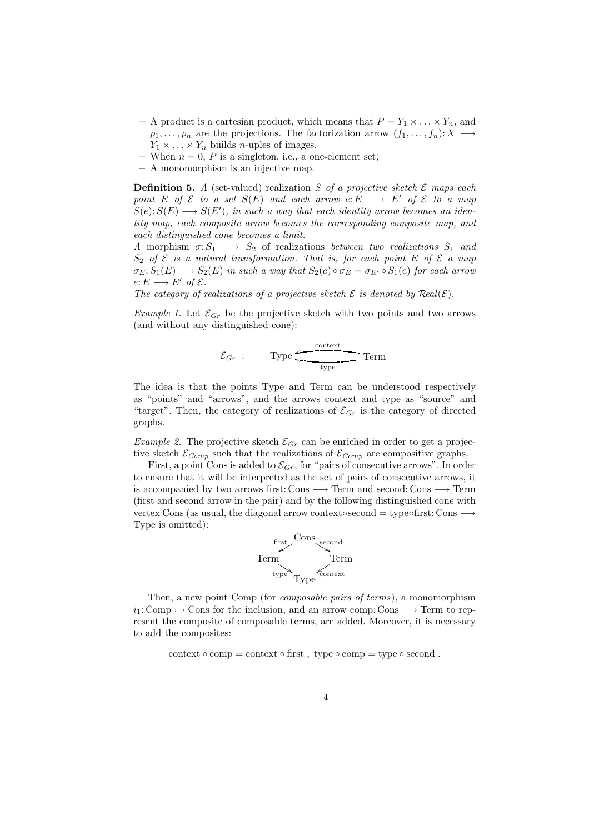- A product is a cartesian product, which means that  $P = Y_1 \times \ldots \times Y_n$ , and  $p_1,\ldots,p_n$  are the projections. The factorization arrow  $(f_1,\ldots,f_n): X \longrightarrow$  $Y_1 \times \ldots \times Y_n$  builds *n*-uples of images.
- When  $n = 0$ , P is a singleton, i.e., a one-element set;
- **–** A monomorphism is an injective map.

**Definition 5.** *A* (set-valued) realization S *of a projective sketch* E *maps each point*  $E$  *of*  $\mathcal{E}$  *to a set*  $S(E)$  *and each arrow*  $e: E \longrightarrow E'$  *of*  $\mathcal{E}$  *to a map*  $S(e): S(E) \longrightarrow S(E'),$  in such a way that each identity arrow becomes an iden*tity map, each composite arrow becomes the corresponding composite map, and each distinguished cone becomes a limit.*

*A* morphism  $\sigma: S_1 \longrightarrow S_2$  of realizations *between two realizations*  $S_1$  *and*  $S_2$  *of*  $\mathcal{E}$  *is a natural transformation. That is, for each point*  $E$  *of*  $\mathcal{E}$  *a map*  $\sigma_E: S_1(E) \longrightarrow S_2(E)$  *in such a way that*  $S_2(e) \circ \sigma_E = \sigma_{E'} \circ S_1(e)$  *for each arrow*  $e: E \longrightarrow E'$  of  $\mathcal{E}.$ 

*The category of realizations of a projective sketch*  $\mathcal E$  *is denoted by*  $\text{Real}(\mathcal E)$ *.* 

*Example 1.* Let  $\mathcal{E}_{Gr}$  be the projective sketch with two points and two arrows (and without any distinguished cone):

$$
\mathcal{E}_{Gr} : \qquad \text{Type} \xrightarrow{\text{context}} \text{Term}
$$

The idea is that the points Type and Term can be understood respectively as "points" and "arrows", and the arrows context and type as "source" and "target". Then, the category of realizations of  $\mathcal{E}_{Gr}$  is the category of directed graphs.

*Example 2.* The projective sketch  $\mathcal{E}_{Gr}$  can be enriched in order to get a projective sketch  $\mathcal{E}_{Comp}$  such that the realizations of  $\mathcal{E}_{Comp}$  are compositive graphs.

First, a point Cons is added to  $\mathcal{E}_{Gr}$ , for "pairs of consecutive arrows". In order to ensure that it will be interpreted as the set of pairs of consecutive arrows, it is accompanied by two arrows first: Cons  $\longrightarrow$  Term and second: Cons  $\longrightarrow$  Term (first and second arrow in the pair) and by the following distinguished cone with vertex Cons (as usual, the diagonal arrow context∘second = type∘first: Cons  $\longrightarrow$ Type is omitted):



Then, a new point Comp (for *composable pairs of terms*), a monomorphism  $i_1: Comp \rightarrow Cons$  for the inclusion, and an arrow comp: Cons  $\longrightarrow$  Term to represent the composite of composable terms, are added. Moreover, it is necessary to add the composites:

context  $\circ$  comp = context  $\circ$  first, type  $\circ$  comp = type  $\circ$  second.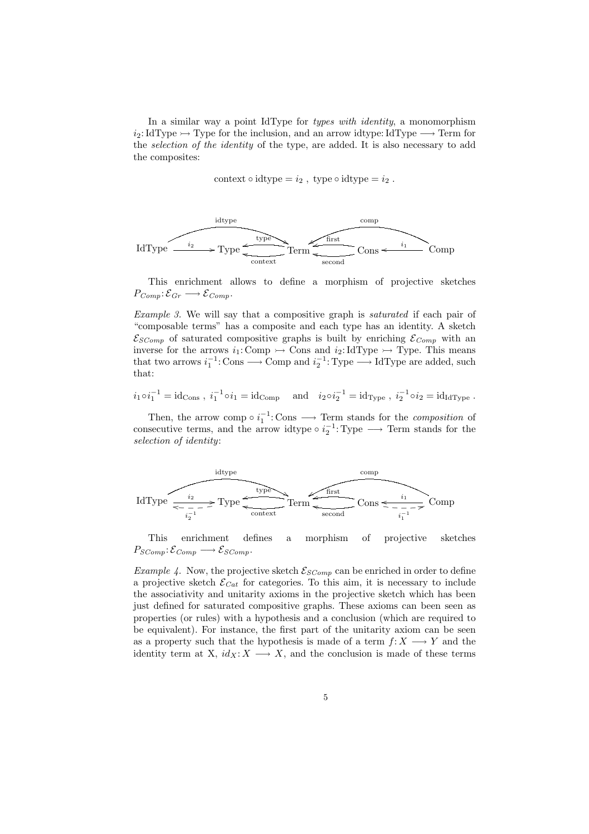In a similar way a point IdType for *types with identity*, a monomorphism  $i_2: \text{IdType} \rightarrow \text{Type}$  for the inclusion, and an arrow idtype: IdType  $\rightarrow$  Term for the *selection of the identity* of the type, are added. It is also necessary to add the composites:

context  $\circ$  idtype =  $i_2$ , type  $\circ$  idtype =  $i_2$ .



This enrichment allows to define a morphism of projective sketches  $P_{Comp}: \mathcal{E}_{Gr} \longrightarrow \mathcal{E}_{Comp}.$ 

*Example 3.* We will say that a compositive graph is *saturated* if each pair of "composable terms" has a composite and each type has an identity. A sketch  $\mathcal{E}_{SComp}$  of saturated compositive graphs is built by enriching  $\mathcal{E}_{Comp}$  with an inverse for the arrows  $i_1:$  Comp  $\rightarrow$  Cons and  $i_2:$  IdType  $\rightarrow$  Type. This means that two arrows  $i_1^{-1}$ : Cons  $\longrightarrow$  Comp and  $i_2^{-1}$ : Type  $\longrightarrow$  IdType are added, such that:

$$
i_1 \circ i_1^{-1} = id_{\text{Cons}}
$$
,  $i_1^{-1} \circ i_1 = id_{\text{Comp}}$  and  $i_2 \circ i_2^{-1} = id_{\text{Type}}$ ,  $i_2^{-1} \circ i_2 = id_{\text{IdType}}$ .

Then, the arrow comp  $\circ i_1^{-1}$ : Cons  $\longrightarrow$  Term stands for the *composition* of consecutive terms, and the arrow idtype  $\circ i_2^{-1}$ : Type  $\longrightarrow$  Term stands for the *selection of identity*:



This enrichment defines a morphism of projective sketches  $P_{SComp} : \mathcal{E}_{Comp} \longrightarrow \mathcal{E}_{SComp}.$ 

*Example 4.* Now, the projective sketch  $\mathcal{E}_{SComp}$  can be enriched in order to define a projective sketch  $\mathcal{E}_{Cat}$  for categories. To this aim, it is necessary to include the associativity and unitarity axioms in the projective sketch which has been just defined for saturated compositive graphs. These axioms can been seen as properties (or rules) with a hypothesis and a conclusion (which are required to be equivalent). For instance, the first part of the unitarity axiom can be seen as a property such that the hypothesis is made of a term  $f: X \longrightarrow Y$  and the identity term at X,  $id_X: X \longrightarrow X$ , and the conclusion is made of these terms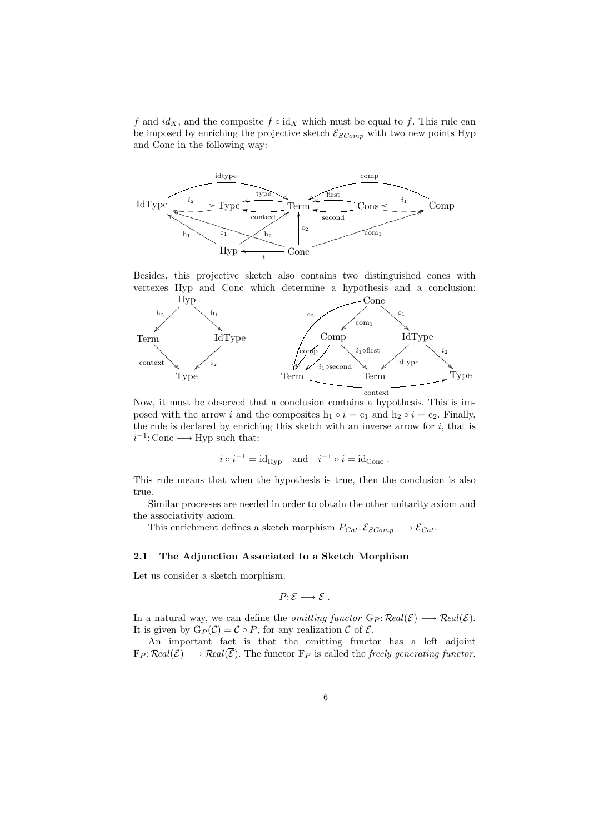f and  $id_X$ , and the composite  $f \circ id_X$  which must be equal to f. This rule can be imposed by enriching the projective sketch  $\mathcal{E}_{SComp}$  with two new points Hyp and Conc in the following way:



Besides, this projective sketch also contains two distinguished cones with vertexes Hyp and Conc which determine a hypothesis and a conclusion:



Now, it must be observed that a conclusion contains a hypothesis. This is imposed with the arrow i and the composites  $h_1 \circ i = c_1$  and  $h_2 \circ i = c_2$ . Finally, the rule is declared by enriching this sketch with an inverse arrow for  $i$ , that is  $i^{-1}$ : Conc  $\longrightarrow$  Hyp such that:

$$
i \circ i^{-1} = id_{\text{Hyp}}
$$
 and  $i^{-1} \circ i = id_{\text{Conc}}$ .

This rule means that when the hypothesis is true, then the conclusion is also true.

Similar processes are needed in order to obtain the other unitarity axiom and the associativity axiom.

This enrichment defines a sketch morphism  $P_{Cat}: \mathcal{E}_{SComp} \longrightarrow \mathcal{E}_{Cat}$ .

# **2.1 The Adjunction Associated to a Sketch Morphism**

Let us consider a sketch morphism:

$$
P\colon \mathcal{E} \longrightarrow \overline{\mathcal{E}} \ .
$$

In a natural way, we can define the *omitting functor*  $G_P$ :  $\mathcal{R}ed(\overline{\mathcal{E}}) \longrightarrow \mathcal{R}ed(\mathcal{E})$ . It is given by  $G_P(\mathcal{C}) = \mathcal{C} \circ P$ , for any realization  $\mathcal{C}$  of  $\overline{\mathcal{E}}$ .

An important fact is that the omitting functor has a left adjoint  $F_P: Real(\mathcal{E}) \longrightarrow Real(\overline{\mathcal{E}})$ . The functor  $F_P$  is called the *freely generating functor*.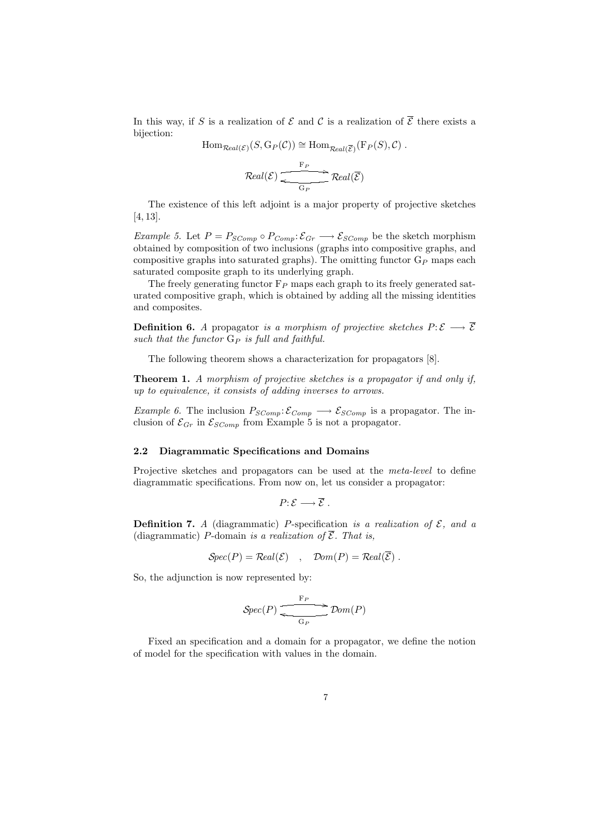In this way, if S is a realization of  $\mathcal E$  and  $\mathcal C$  is a realization of  $\overline{\mathcal E}$  there exists a bijection:

 $\text{Hom}_{\mathcal{R}cal(\mathcal{E})}(S, G_P(\mathcal{C})) \cong \text{Hom}_{\mathcal{R}cal(\overline{\mathcal{E}})}(\mathcal{F}_P(S), \mathcal{C})$ .

$$
\mathcal{R}eal(\mathcal{E}) \xrightarrow{\mathbf{F}_P} \mathcal{R}eal(\overline{\mathcal{E}})
$$

The existence of this left adjoint is a major property of projective sketches [4, 13].

*Example 5.* Let  $P = P_{SComp} \circ P_{Comp} : \mathcal{E}_{Gr} \longrightarrow \mathcal{E}_{SComp}$  be the sketch morphism obtained by composition of two inclusions (graphs into compositive graphs, and compositive graphs into saturated graphs). The omitting functor  $G_P$  maps each saturated composite graph to its underlying graph.

The freely generating functor  $F_P$  maps each graph to its freely generated saturated compositive graph, which is obtained by adding all the missing identities and composites.

**Definition 6.** *A* propagator *is a morphism of projective sketches*  $P: \mathcal{E} \longrightarrow \overline{\mathcal{E}}$ such that the functor  $G_P$  *is full and faithful.* 

The following theorem shows a characterization for propagators [8].

**Theorem 1.** *A morphism of projective sketches is a propagator if and only if, up to equivalence, it consists of adding inverses to arrows.*

*Example 6.* The inclusion  $P_{SComp}$ :  $\mathcal{E}_{Comp} \longrightarrow \mathcal{E}_{SComp}$  is a propagator. The inclusion of  $\mathcal{E}_{Gr}$  in  $\mathcal{E}_{SComp}$  from Example 5 is not a propagator.

### **2.2 Diagrammatic Specifications and Domains**

Projective sketches and propagators can be used at the *meta-level* to define diagrammatic specifications. From now on, let us consider a propagator:

$$
P: \mathcal{E} \longrightarrow \overline{\mathcal{E}} .
$$

**Definition 7.** *A* (diagrammatic) *P*-specification *is a realization of*  $\mathcal{E}$ *, and a* (diagrammatic) P-domain *is a realization of*  $\overline{\mathcal{E}}$ *. That is,* 

$$
Spec(P) = Real(\mathcal{E}) , Dom(P) = Real(\mathcal{E}) .
$$

So, the adjunction is now represented by:

$$
Spec(P) \xrightarrow{\mathbf{F}_P} Dom(P)
$$

Fixed an specification and a domain for a propagator, we define the notion of model for the specification with values in the domain.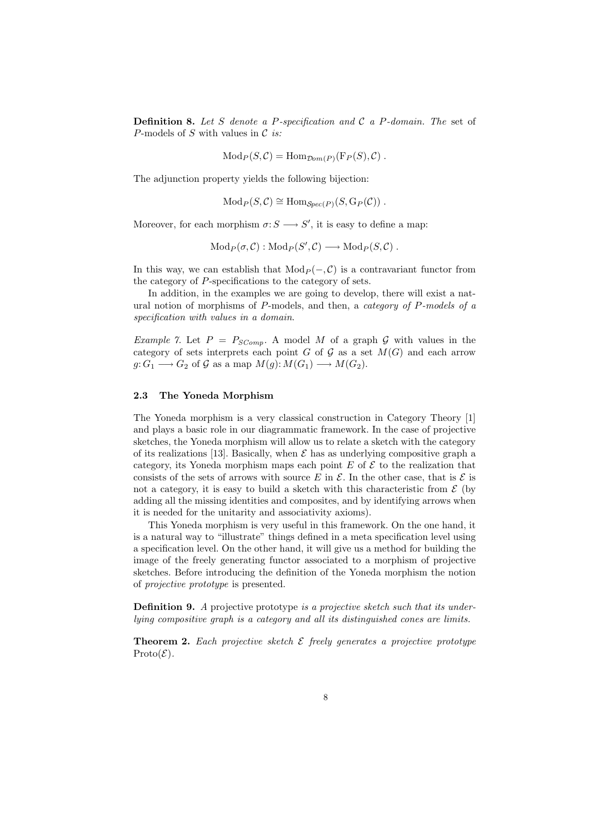**Definition 8.** *Let* S *denote a* P*-specification and* C *a* P*-domain. The* set of P-models of S with values in C *is:*

 $Mod_P(S, C) = Hom_{Dom(P)}(F_P(S), C)$ .

The adjunction property yields the following bijection:

 $Mod_P(S, \mathcal{C}) \cong Hom_{Spec(P)}(S, G_P(\mathcal{C}))$ .

Moreover, for each morphism  $\sigma: S \longrightarrow S'$ , it is easy to define a map:

 $\text{Mod}_P(\sigma, \mathcal{C}) : \text{Mod}_P(S', \mathcal{C}) \longrightarrow \text{Mod}_P(S, \mathcal{C})$ .

In this way, we can establish that  $Mod_P (-, C)$  is a contravariant functor from the category of P-specifications to the category of sets.

In addition, in the examples we are going to develop, there will exist a natural notion of morphisms of P-models, and then, a *category of* P*-models of a specification with values in a domain*.

*Example 7.* Let  $P = P_{SComp}$ . A model M of a graph G with values in the category of sets interprets each point G of G as a set  $M(G)$  and each arrow  $g: G_1 \longrightarrow G_2$  of G as a map  $M(g): M(G_1) \longrightarrow M(G_2)$ .

## **2.3 The Yoneda Morphism**

The Yoneda morphism is a very classical construction in Category Theory [1] and plays a basic role in our diagrammatic framework. In the case of projective sketches, the Yoneda morphism will allow us to relate a sketch with the category of its realizations [13]. Basically, when  $\mathcal E$  has as underlying compositive graph a category, its Yoneda morphism maps each point  $E$  of  $\mathcal E$  to the realization that consists of the sets of arrows with source E in  $\mathcal E$ . In the other case, that is  $\mathcal E$  is not a category, it is easy to build a sketch with this characteristic from  $\mathcal E$  (by adding all the missing identities and composites, and by identifying arrows when it is needed for the unitarity and associativity axioms).

This Yoneda morphism is very useful in this framework. On the one hand, it is a natural way to "illustrate" things defined in a meta specification level using a specification level. On the other hand, it will give us a method for building the image of the freely generating functor associated to a morphism of projective sketches. Before introducing the definition of the Yoneda morphism the notion of *projective prototype* is presented.

**Definition 9.** *A* projective prototype *is a projective sketch such that its underlying compositive graph is a category and all its distinguished cones are limits.*

**Theorem 2.** Each projective sketch  $\mathcal{E}$  freely generates a projective prototype  $\text{Prob}(\mathcal{E})$ .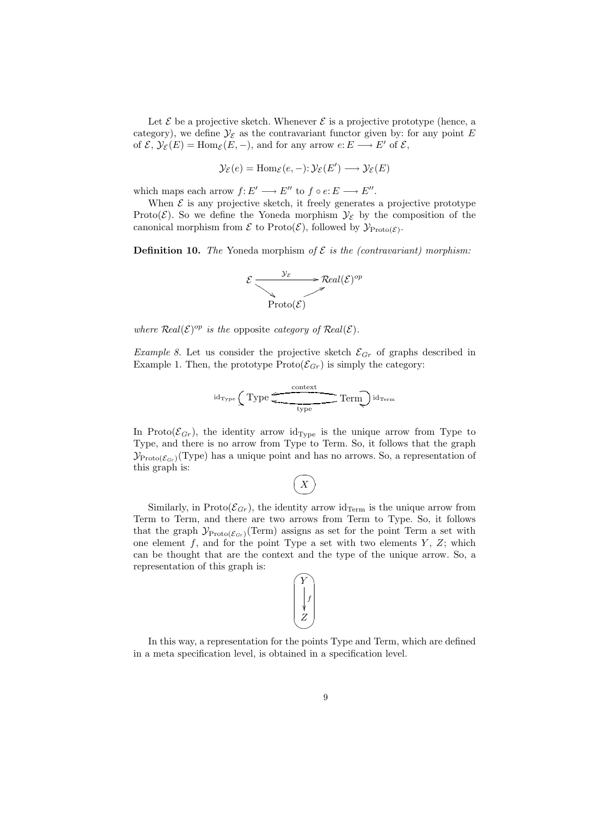Let  $\mathcal E$  be a projective sketch. Whenever  $\mathcal E$  is a projective prototype (hence, a category), we define  $\mathcal{Y}_{\mathcal{E}}$  as the contravariant functor given by: for any point E of  $\mathcal{E}, \mathcal{Y}_{\mathcal{E}}(E) = \text{Hom}_{\mathcal{E}}(E, -),$  and for any arrow  $e: E \longrightarrow E'$  of  $\mathcal{E},$ 

$$
\mathcal{Y}_{\mathcal{E}}(e) = \text{Hom}_{\mathcal{E}}(e, -): \mathcal{Y}_{\mathcal{E}}(E') \longrightarrow \mathcal{Y}_{\mathcal{E}}(E)
$$

which maps each arrow  $f: E' \longrightarrow E''$  to  $f \circ e: E \longrightarrow E''$ .

When  $\mathcal E$  is any projective sketch, it freely generates a projective prototype Proto( $\mathcal{E}$ ). So we define the Yoneda morphism  $\mathcal{Y}_{\mathcal{E}}$  by the composition of the canonical morphism from  $\mathcal E$  to Proto( $\mathcal E$ ), followed by  $\mathcal Y_{\text{Proto}(\mathcal E)}$ .

**Definition 10.** *The* Yoneda morphism of  $\mathcal{E}$  *is the (contravariant) morphism:* 

$$
\mathcal{E} \xrightarrow{\mathcal{Y}_{\mathcal{E}}} \mathcal{R}^{real(\mathcal{E})^{op}}
$$
  
Prob( $\mathcal{E}$ )

*where*  $\text{Real}(\mathcal{E})^{op}$  *is the* opposite *category of*  $\text{Real}(\mathcal{E})$ *.* 

*Example 8.* Let us consider the projective sketch  $\mathcal{E}_{Gr}$  of graphs described in Example 1. Then, the prototype  $\text{Prob}(\mathcal{E}_{Gr})$  is simply the category:

$$
id_{\text{Type}}\textnormal{Type} \overbrace{\textnormal{Type} \hspace{0.5cm}}^{\textnormal{context}}\textnormal{Term}}^{\textnormal{otherm}}\textnormal{Term}
$$

In Proto( $\mathcal{E}_{Gr}$ ), the identity arrow id<sub>Type</sub> is the unique arrow from Type to Type, and there is no arrow from Type to Term. So, it follows that the graph  $\mathcal{Y}_{\text{Proto}(\mathcal{E}_{Gr})}(\text{Type})$  has a unique point and has no arrows. So, a representation of this graph is:



Similarly, in Proto( $\mathcal{E}_{Gr}$ ), the identity arrow id<sub>Term</sub> is the unique arrow from Term to Term, and there are two arrows from Term to Type. So, it follows that the graph  $\mathcal{Y}_{\text{Proto}(\mathcal{E}_{Gr})}(\text{Term})$  assigns as set for the point Term a set with one element  $f$ , and for the point Type a set with two elements  $Y$ ,  $Z$ ; which can be thought that are the context and the type of the unique arrow. So, a representation of this graph is:



In this way, a representation for the points Type and Term, which are defined in a meta specification level, is obtained in a specification level.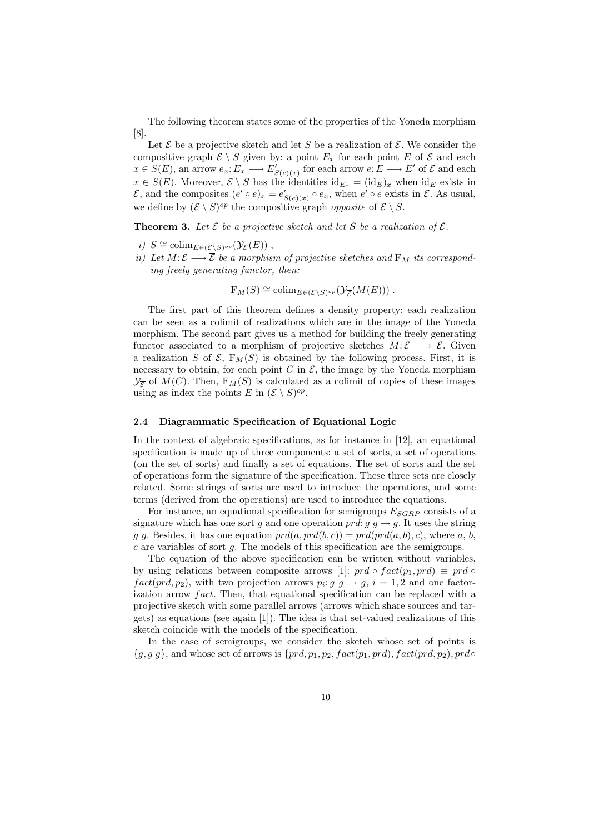The following theorem states some of the properties of the Yoneda morphism [8].

Let  $\mathcal E$  be a projective sketch and let S be a realization of  $\mathcal E$ . We consider the compositive graph  $\mathcal{E} \setminus S$  given by: a point  $E_x$  for each point E of  $\mathcal{E}$  and each  $x \in S(E)$ , an arrow  $e_x: E_x \longrightarrow E'_{S(e)(x)}$  for each arrow  $e: E \longrightarrow E'$  of  $\mathcal E$  and each  $x \in S(E)$ . Moreover,  $\mathcal{E} \setminus S$  has the identities  $id_{E_x} = (id_E)_x$  when  $id_E$  exists in  $\mathcal{E}$ , and the composites  $(e' \circ e)_x = e'_{S(e)(x)} \circ e_x$ , when  $e' \circ e$  exists in  $\mathcal{E}$ . As usual, we define by  $(\mathcal{E} \setminus S)^{op}$  the compositive graph *opposite* of  $\mathcal{E} \setminus S$ .

**Theorem 3.** Let  $\mathcal{E}$  be a projective sketch and let  $S$  be a realization of  $\mathcal{E}$ .

- *i)*  $S \cong \mathrm{colim}_{E \in (\mathcal{E} \setminus S)^{op}}(\mathcal{Y}_{\mathcal{E}}(E))$ ,
- *ii)* Let  $M: \mathcal{E} \longrightarrow \overline{\mathcal{E}}$  be a morphism of projective sketches and  $F_M$  its correspond*ing freely generating functor, then:*

 $F_M(S) \cong \text{colim}_{E \in (\mathcal{E} \setminus S)^{op}}(\mathcal{Y}_{\overline{\mathcal{F}}}(M(E)))$ .

The first part of this theorem defines a density property: each realization can be seen as a colimit of realizations which are in the image of the Yoneda morphism. The second part gives us a method for building the freely generating functor associated to a morphism of projective sketches  $M: \mathcal{E} \longrightarrow \overline{\mathcal{E}}$ . Given a realization S of  $\mathcal{E}, F_M(S)$  is obtained by the following process. First, it is necessary to obtain, for each point  $C$  in  $\mathcal{E}$ , the image by the Yoneda morphism  $\mathcal{Y}_{\overline{S}}$  of  $M(C)$ . Then,  $F_M(S)$  is calculated as a colimit of copies of these images using as index the points E in  $(\mathcal{E} \setminus S)^{op}$ .

### **2.4 Diagrammatic Specification of Equational Logic**

In the context of algebraic specifications, as for instance in [12], an equational specification is made up of three components: a set of sorts, a set of operations (on the set of sorts) and finally a set of equations. The set of sorts and the set of operations form the signature of the specification. These three sets are closely related. Some strings of sorts are used to introduce the operations, and some terms (derived from the operations) are used to introduce the equations.

For instance, an equational specification for semigroups  $E_{SGRP}$  consists of a signature which has one sort g and one operation prd:  $g \to g$ . It uses the string g g. Besides, it has one equation  $prd(a, prd(b, c)) = prd(prd(a, b), c)$ , where a, b,  $c$  are variables of sort  $q$ . The models of this specification are the semigroups.

The equation of the above specification can be written without variables, by using relations between composite arrows [1]: prd ∘  $fact(p_1, prd) \equiv prd$  ◦  $fact(prd, p_2)$ , with two projection arrows  $p_i: g \t g \to g, i = 1, 2$  and one factorization arrow  $fact.$  Then, that equational specification can be replaced with a projective sketch with some parallel arrows (arrows which share sources and targets) as equations (see again [1]). The idea is that set-valued realizations of this sketch coincide with the models of the specification.

In the case of semigroups, we consider the sketch whose set of points is  ${g, g g}$ , and whose set of arrows is  $\{prd, p_1, p_2, \text{fact}(p_1, \text{prd}), \text{fact}(\text{prd}, p_2), \text{prd} \circ$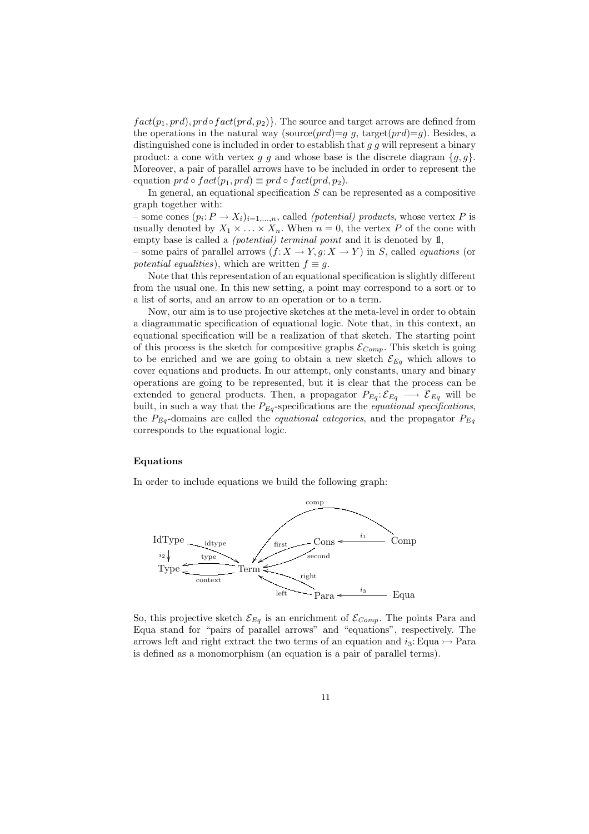$fact(p_1, prd), prd \circ fact(prd, p_2)$ . The source and target arrows are defined from the operations in the natural way (source $(prd)=q$ , target $(prd)=q$ ). Besides, a distinguished cone is included in order to establish that  $g$  g will represent a binary product: a cone with vertex g g and whose base is the discrete diagram  $\{g, g\}$ . Moreover, a pair of parallel arrows have to be included in order to represent the equation  $prd \circ fact(p_1, prd) \equiv prd \circ fact(prd, p_2)$ .

In general, an equational specification  $S$  can be represented as a compositive graph together with:

– some cones  $(p_i: P \to X_i)_{i=1,\dots,n}$ , called *(potential) products*, whose vertex P is usually denoted by  $X_1 \times \ldots \times X_n$ . When  $n = 0$ , the vertex P of the cone with empty base is called a *(potential) terminal point* and it is denoted by 1l,

– some pairs of parallel arrows  $(f: X \to Y, g: X \to Y)$  in S, called *equations* (or *potential equalities*), which are written  $f \equiv g$ .

Note that this representation of an equational specification is slightly different from the usual one. In this new setting, a point may correspond to a sort or to a list of sorts, and an arrow to an operation or to a term.

Now, our aim is to use projective sketches at the meta-level in order to obtain a diagrammatic specification of equational logic. Note that, in this context, an equational specification will be a realization of that sketch. The starting point of this process is the sketch for compositive graphs  $\mathcal{E}_{Comp}$ . This sketch is going to be enriched and we are going to obtain a new sketch  $\mathcal{E}_{Eq}$  which allows to cover equations and products. In our attempt, only constants, unary and binary operations are going to be represented, but it is clear that the process can be extended to general products. Then, a propagator  $P_{Eq}: \mathcal{E}_{Eq} \longrightarrow \overline{\mathcal{E}}_{Eq}$  will be built, in such a way that the  $P_{Eq}$ -specifications are the *equational specifications*, the P*Eq* -domains are called the *equational categories*, and the propagator P*Eq* corresponds to the equational logic.

### **Equations**

In order to include equations we build the following graph:



So, this projective sketch  $\mathcal{E}_{Eq}$  is an enrichment of  $\mathcal{E}_{Comp}$ . The points Para and Equa stand for "pairs of parallel arrows" and "equations", respectively. The arrows left and right extract the two terms of an equation and  $i_3$ : Equa  $\rightarrow$  Para is defined as a monomorphism (an equation is a pair of parallel terms).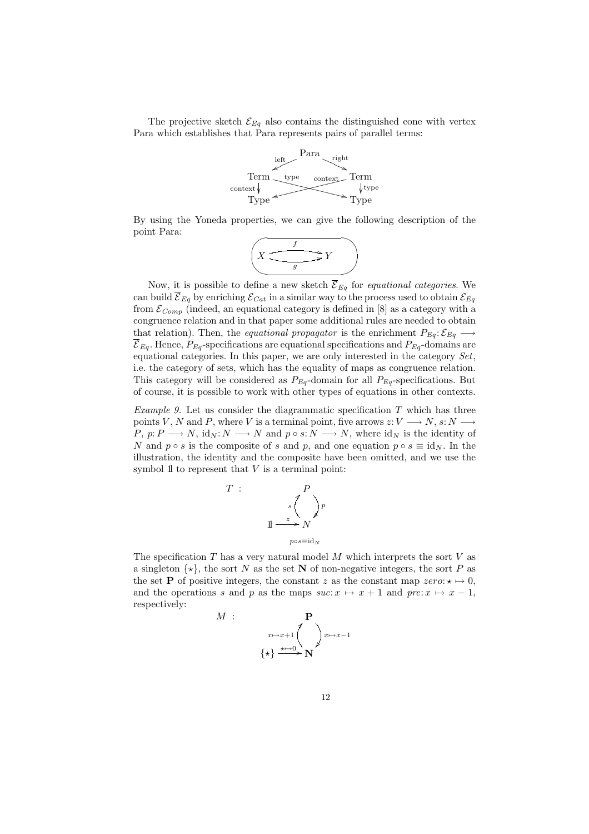The projective sketch  $\mathcal{E}_{Eq}$  also contains the distinguished cone with vertex Para which establishes that Para represents pairs of parallel terms:



By using the Yoneda properties, we can give the following description of the point Para:

$$
\left(X \xrightarrow{f} Y\right)
$$

Now, it is possible to define a new sketch  $\overline{\mathcal{E}}_{Eq}$  for *equational categories*. We can build  $\overline{\mathcal{E}}_{Eq}$  by enriching  $\mathcal{E}_{Cat}$  in a similar way to the process used to obtain  $\mathcal{E}_{Eq}$ from  $\mathcal{E}_{Comp}$  (indeed, an equational category is defined in [8] as a category with a congruence relation and in that paper some additional rules are needed to obtain that relation). Then, the *equational propagator* is the enrichment  $P_{Eq}: \mathcal{E}_{Eq} \longrightarrow$  $\overline{\mathcal{E}}_{Eq}$ . Hence,  $P_{Eq}$ -specifications are equational specifications and  $P_{Eq}$ -domains are equational categories. In this paper, we are only interested in the category *Set*, i.e. the category of sets, which has the equality of maps as congruence relation. This category will be considered as  $P_{Eq}$ -domain for all  $P_{Eq}$ -specifications. But of course, it is possible to work with other types of equations in other contexts.

*Example 9.* Let us consider the diagrammatic specification T which has three points V, N and P, where V is a terminal point, five arrows  $z: V \longrightarrow N$ ,  $s: N \longrightarrow$  $P, p: P \longrightarrow N$ , id<sub>N</sub>:  $N \longrightarrow N$  and  $p \circ s: N \longrightarrow N$ , where id<sub>N</sub> is the identity of N and  $p \circ s$  is the composite of s and p, and one equation  $p \circ s \equiv id_N$ . In the illustration, the identity and the composite have been omitted, and we use the symbol  $\mathbb 1$  to represent that V is a terminal point:



The specification  $T$  has a very natural model  $M$  which interprets the sort  $V$  as a singleton  $\{\star\}$ , the sort N as the set N of non-negative integers, the sort P as the set **P** of positive integers, the constant z as the constant map zero:  $\star \mapsto 0$ , and the operations s and p as the maps  $suc: x \mapsto x+1$  and  $pre: x \mapsto x-1$ , respectively:

$$
\Pr_{x \mapsto x+1} \left( \bigwedge_{\{\star\}}^{P} \right)_{x \mapsto x-1}
$$

 $M$  :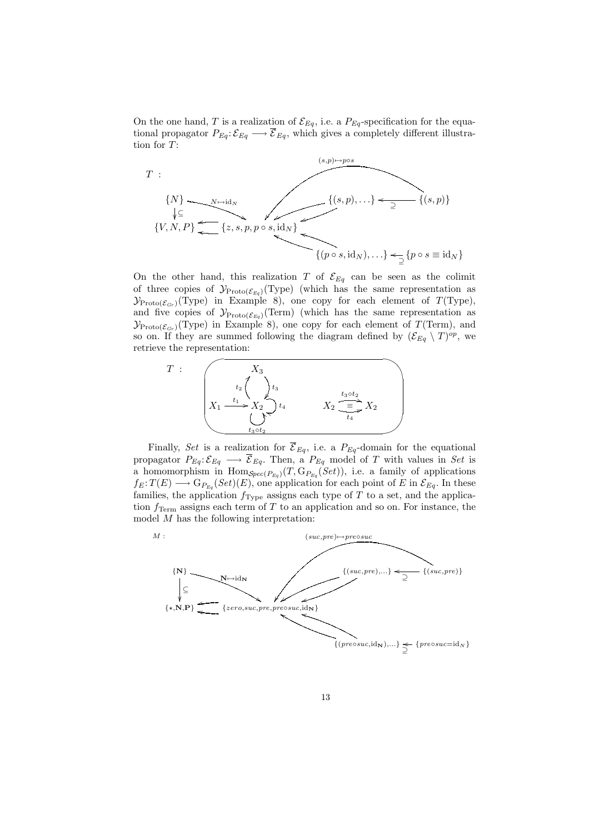On the one hand, T is a realization of  $\mathcal{E}_{Eq}$ , i.e. a  $P_{Eq}$ -specification for the equational propagator  $P_{Eq} : \mathcal{E}_{Eq} \longrightarrow \overline{\mathcal{E}}_{Eq}$ , which gives a completely different illustration for T:



On the other hand, this realization T of  $\mathcal{E}_{Eq}$  can be seen as the colimit of three copies of  $\mathcal{Y}_{\text{Proto}(\mathcal{E}_{Eq})}(\text{Type})$  (which has the same representation as  $\mathcal{Y}_{\text{Proto}(\mathcal{E}_{Gr})}(\text{Type})$  in Example 8), one copy for each element of  $T(\text{Type})$ , and five copies of  $\mathcal{Y}_{\text{Proto}(\mathcal{E}_{Eq})}(\text{Term})$  (which has the same representation as  $\mathcal{Y}_{\text{Proto}(\mathcal{E}_{Gr})}(\text{Type})$  in Example 8), one copy for each element of  $T(\text{Term})$ , and so on. If they are summed following the diagram defined by  $(\mathcal{E}_{Eq} \setminus T)^{op}$ , we retrieve the representation:



Finally, *Set* is a realization for  $\overline{\mathcal{E}}_{Eq}$ , i.e. a  $P_{Eq}$ -domain for the equational propagator  $P_{Eq}: \mathcal{E}_{Eq} \longrightarrow \overline{\mathcal{E}}_{Eq}$ . Then, a  $P_{Eq}$  model of T with values in *Set* is a homomorphism in  $\text{Hom}_{\mathcal{S}pec(P_{Eq})}(T, \text{G}_{P_{Eq}}(Set))$ , i.e. a family of applications  $f_E: T(E) \longrightarrow G_{P_{Eq}}(Set)(E)$ , one application for each point of E in  $\mathcal{E}_{Eq}$ . In these families, the application  $f_{Type}$  assigns each type of T to a set, and the application  $f_{\text{Term}}$  assigns each term of T to an application and so on. For instance, the model M has the following interpretation:



13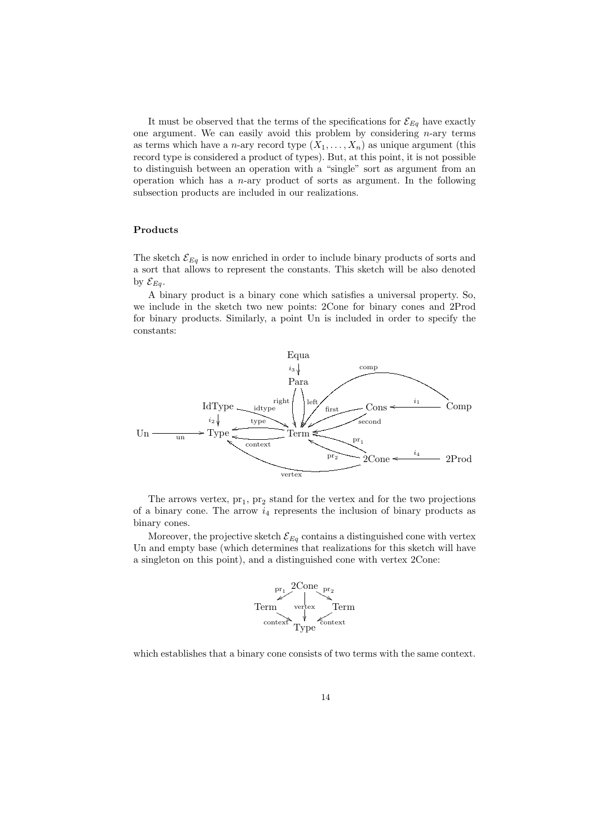It must be observed that the terms of the specifications for  $\mathcal{E}_{Eq}$  have exactly one argument. We can easily avoid this problem by considering  $n$ -ary terms as terms which have a *n*-ary record type  $(X_1, \ldots, X_n)$  as unique argument (this record type is considered a product of types). But, at this point, it is not possible to distinguish between an operation with a "single" sort as argument from an operation which has a  $n$ -ary product of sorts as argument. In the following subsection products are included in our realizations.

#### **Products**

The sketch  $\mathcal{E}_{Eq}$  is now enriched in order to include binary products of sorts and a sort that allows to represent the constants. This sketch will be also denoted by  $\mathcal{E}_{Eq}$ .

A binary product is a binary cone which satisfies a universal property. So, we include in the sketch two new points: 2Cone for binary cones and 2Prod for binary products. Similarly, a point Un is included in order to specify the constants:



The arrows vertex,  $pr_1$ ,  $pr_2$  stand for the vertex and for the two projections of a binary cone. The arrow  $i_4$  represents the inclusion of binary products as binary cones.

Moreover, the projective sketch  $\mathcal{E}_{Eq}$  contains a distinguished cone with vertex Un and empty base (which determines that realizations for this sketch will have a singleton on this point), and a distinguished cone with vertex 2Cone:



which establishes that a binary cone consists of two terms with the same context.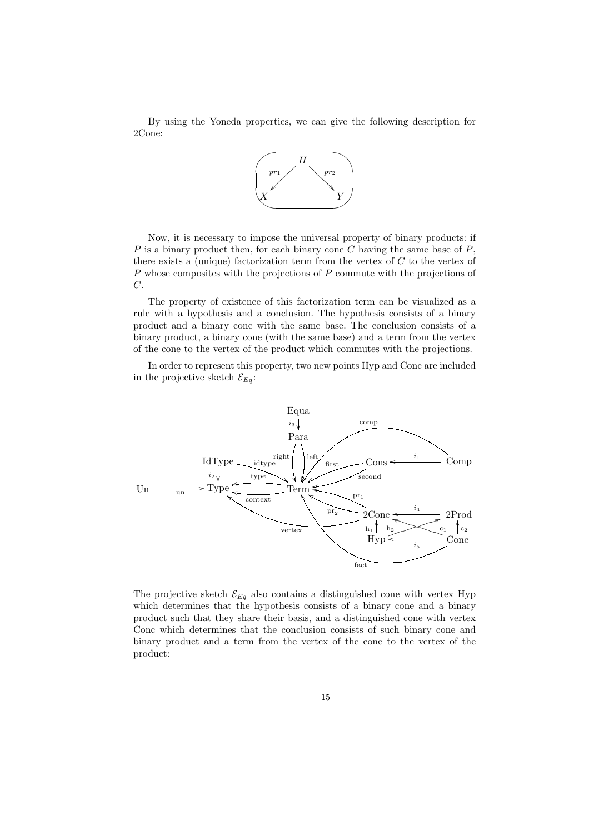By using the Yoneda properties, we can give the following description for 2Cone:



Now, it is necessary to impose the universal property of binary products: if  $P$  is a binary product then, for each binary cone  $C$  having the same base of  $P$ , there exists a (unique) factorization term from the vertex of  $C$  to the vertex of  $P$  whose composites with the projections of  $P$  commute with the projections of C.

The property of existence of this factorization term can be visualized as a rule with a hypothesis and a conclusion. The hypothesis consists of a binary product and a binary cone with the same base. The conclusion consists of a binary product, a binary cone (with the same base) and a term from the vertex of the cone to the vertex of the product which commutes with the projections.

In order to represent this property, two new points Hyp and Conc are included in the projective sketch  $\mathcal{E}_{Eq}$ :



The projective sketch  $\mathcal{E}_{Eq}$  also contains a distinguished cone with vertex Hyp which determines that the hypothesis consists of a binary cone and a binary product such that they share their basis, and a distinguished cone with vertex Conc which determines that the conclusion consists of such binary cone and binary product and a term from the vertex of the cone to the vertex of the product: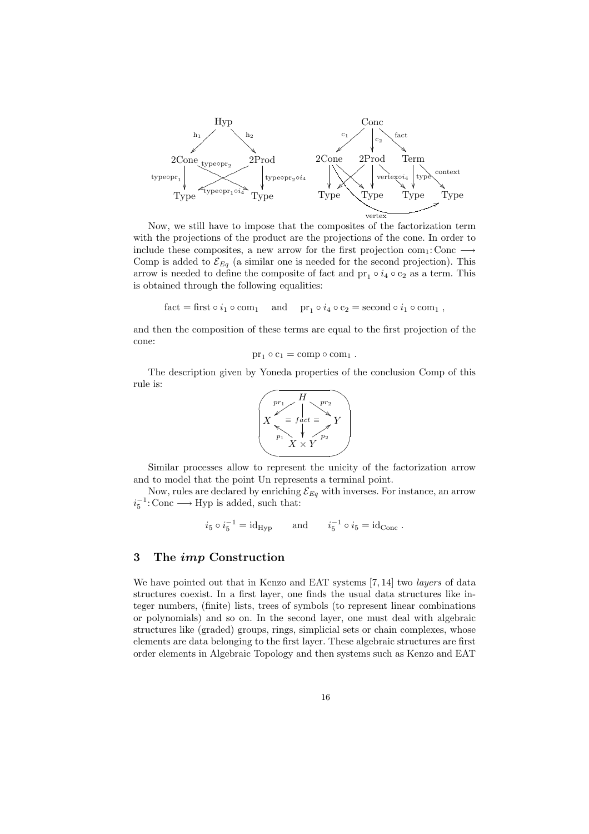

Now, we still have to impose that the composites of the factorization term with the projections of the product are the projections of the cone. In order to include these composites, a new arrow for the first projection com<sub>1</sub>: Conc  $\longrightarrow$ Comp is added to  $\mathcal{E}_{Eq}$  (a similar one is needed for the second projection). This arrow is needed to define the composite of fact and  $\text{pr}_1 \circ i_4 \circ \text{c}_2$  as a term. This is obtained through the following equalities:

fact = first  $\circ i_1 \circ \text{com}_1$  and  $\text{pr}_1 \circ i_4 \circ \text{c}_2 = \text{second} \circ i_1 \circ \text{com}_1$ ,

and then the composition of these terms are equal to the first projection of the cone:

$$
pr_1 \circ c_1 = comp \circ com_1 .
$$

The description given by Yoneda properties of the conclusion Comp of this rule is:



Similar processes allow to represent the unicity of the factorization arrow and to model that the point Un represents a terminal point.

Now, rules are declared by enriching  $\mathcal{E}_{Eq}$  with inverses. For instance, an arrow  $i_5^{-1}$ : Conc  $\longrightarrow$  Hyp is added, such that:

$$
i_5 \circ i_5^{-1} = id_{Hyp}
$$
 and  $i_5^{-1} \circ i_5 = id_{Conc}$ .

# **3 The** *imp* **Construction**

We have pointed out that in Kenzo and EAT systems [7, 14] two *layers* of data structures coexist. In a first layer, one finds the usual data structures like integer numbers, (finite) lists, trees of symbols (to represent linear combinations or polynomials) and so on. In the second layer, one must deal with algebraic structures like (graded) groups, rings, simplicial sets or chain complexes, whose elements are data belonging to the first layer. These algebraic structures are first order elements in Algebraic Topology and then systems such as Kenzo and EAT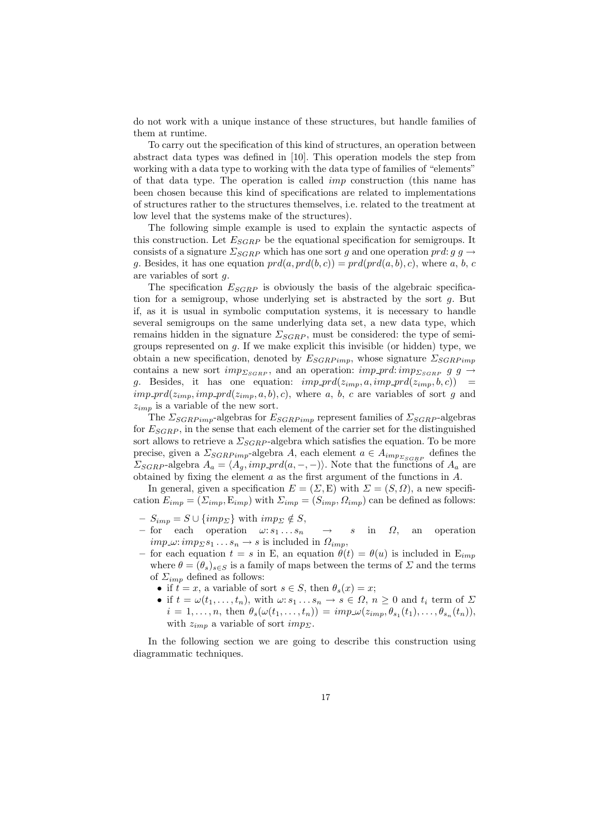do not work with a unique instance of these structures, but handle families of them at runtime.

To carry out the specification of this kind of structures, an operation between abstract data types was defined in [10]. This operation models the step from working with a data type to working with the data type of families of "elements" of that data type. The operation is called imp construction (this name has been chosen because this kind of specifications are related to implementations of structures rather to the structures themselves, i.e. related to the treatment at low level that the systems make of the structures).

The following simple example is used to explain the syntactic aspects of this construction. Let  $E_{SGRP}$  be the equational specification for semigroups. It consists of a signature  $\Sigma_{SGRP}$  which has one sort g and one operation prd: g g  $\rightarrow$ g. Besides, it has one equation  $prd(a, prd(b, c)) = prd(prd(a, b), c)$ , where a, b, c are variables of sort g.

The specification  $E_{SGRP}$  is obviously the basis of the algebraic specification for a semigroup, whose underlying set is abstracted by the sort g. But if, as it is usual in symbolic computation systems, it is necessary to handle several semigroups on the same underlying data set, a new data type, which remains hidden in the signature  $\Sigma_{SGRP}$ , must be considered: the type of semigroups represented on  $g$ . If we make explicit this invisible (or hidden) type, we obtain a new specification, denoted by  $E_{SGRPimp}$ , whose signature  $\Sigma_{SGRPimp}$ contains a new sort  $imp_{SGRP}$ , and an operation:  $imp_{DT}d:imp_{SGRP}$  g  $g \rightarrow$ g. Besides, it has one equation:  $imp\_prd(z_{imp}, a, imp\_prd(z_{imp}, b, c)) =$  $imp\_prd(z_{imp}, imp\_prd(z_{imp}, a, b), c)$ , where a, b, c are variables of sort g and  $z_{imp}$  is a variable of the new sort.

The  $\Sigma_{SGRPimp}$ -algebras for  $E_{SGRPimp}$  represent families of  $\Sigma_{SGRP}$ -algebras for  $E_{SGBP}$ , in the sense that each element of the carrier set for the distinguished sort allows to retrieve a  $\Sigma_{SGRP}$ -algebra which satisfies the equation. To be more precise, given a  $\Sigma_{SGRPimp}$ -algebra A, each element  $a \in A_{imp_{SGRP}}$  defines the  $\Sigma_{SGRP}$ -algebra  $A_a = \langle A_a, imp\_prd(a, -, -) \rangle$ . Note that the functions of  $A_a$  are obtained by fixing the element  $a$  as the first argument of the functions in  $A$ .

In general, given a specification  $E = (\Sigma, E)$  with  $\Sigma = (S, \Omega)$ , a new specification  $E_{imp} = (\Sigma_{imp}, E_{imp})$  with  $\Sigma_{imp} = (S_{imp}, \Omega_{imp})$  can be defined as follows:

- $S_{imp} = S \cup \{imp_{\Sigma}\}\$  with  $imp_{\Sigma} \notin S$ ,
- $-$  for each operation  $\omega: s_1 \dots s_n \longrightarrow s$  in  $\Omega$ , an operation  $imp \omega: imp_{\Sigma} s_1 \ldots s_n \rightarrow s$  is included in  $\Omega_{imp}$ .
- for each equation  $t = s$  in E, an equation  $\theta(t) = \theta(u)$  is included in E<sub>imp</sub> where  $\theta = (\theta_s)_{s \in S}$  is a family of maps between the terms of  $\Sigma$  and the terms of  $\Sigma_{imp}$  defined as follows:
	- if  $t = x$ , a variable of sort  $s \in S$ , then  $\theta_s(x) = x$ ;
	- if  $t = \omega(t_1, \ldots, t_n)$ , with  $\omega: s_1 \ldots s_n \to s \in \Omega$ ,  $n \geq 0$  and  $t_i$  term of  $\Sigma$  $i = 1,\ldots,n$ , then  $\theta_s(\omega(t_1,\ldots,t_n)) = imp\omega(z_{imp},\theta_{s_1}(t_1),\ldots,\theta_{s_n}(t_n)),$ with  $z_{imp}$  a variable of sort  $imp_{\Sigma}$ .

In the following section we are going to describe this construction using diagrammatic techniques.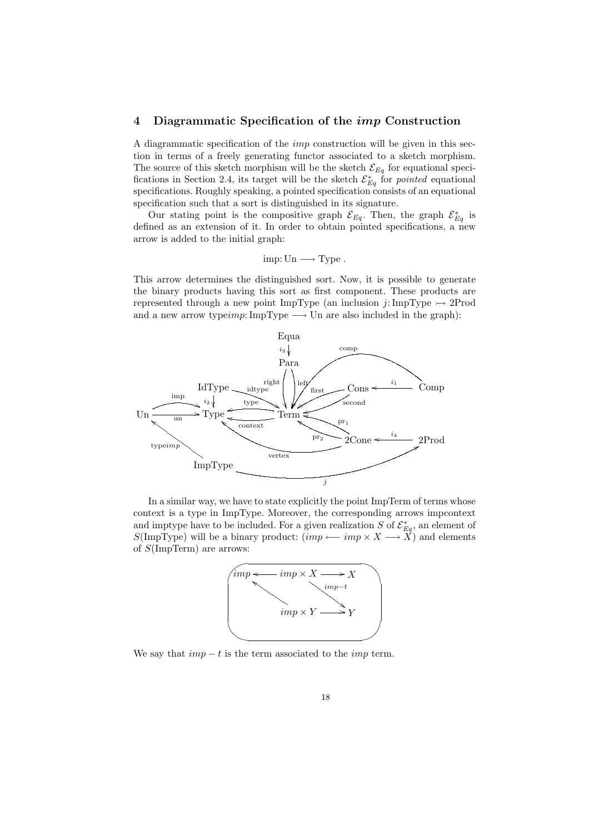### **4 Diagrammatic Specification of the** *imp* **Construction**

A diagrammatic specification of the imp construction will be given in this section in terms of a freely generating functor associated to a sketch morphism. The source of this sketch morphism will be the sketch  $\mathcal{E}_{Eq}$  for equational specifications in Section 2.4, its target will be the sketch  $\mathcal{E}_{Eq}^*$  for *pointed* equational specifications. Roughly speaking, a pointed specification consists of an equational specification such that a sort is distinguished in its signature.

Our stating point is the compositive graph  $\mathcal{E}_{Eq}$ . Then, the graph  $\mathcal{E}_{Eq}^*$  is defined as an extension of it. In order to obtain pointed specifications, a new arrow is added to the initial graph:

$$
imp: Un \longrightarrow Type.
$$

This arrow determines the distinguished sort. Now, it is possible to generate the binary products having this sort as first component. These products are represented through a new point ImpType (an inclusion  $j: \text{ImpType} \rightarrow 2\text{Prod}$ and a new arrow typeimp: ImpType  $\longrightarrow$  Un are also included in the graph):



In a similar way, we have to state explicitly the point ImpTerm of terms whose context is a type in ImpType. Moreover, the corresponding arrows impcontext and imptype have to be included. For a given realization S of  $\mathcal{E}^*_{Eq}$ , an element of  $S(\text{ImpType})$  will be a binary product:  $(imp \longleftarrow imp \times X \longrightarrow X$ ) and elements of S(ImpTerm) are arrows:



We say that  $imp - t$  is the term associated to the *imp* term.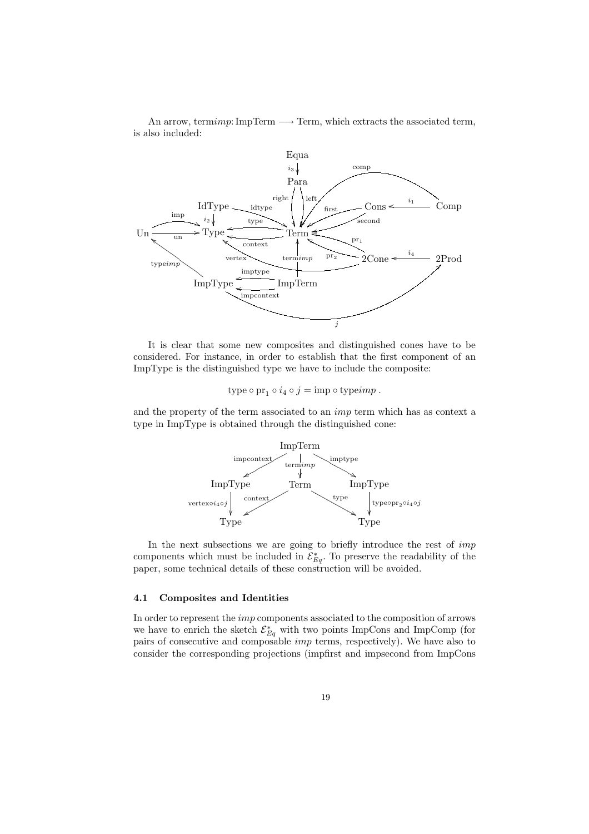An arrow, termimp: ImpTerm  $\longrightarrow$  Term, which extracts the associated term, is also included:



It is clear that some new composites and distinguished cones have to be considered. For instance, in order to establish that the first component of an ImpType is the distinguished type we have to include the composite:

type  $\circ$  pr<sub>1</sub>  $\circ$   $i_4 \circ j = \text{imp} \circ \text{type}$ .

and the property of the term associated to an imp term which has as context a type in ImpType is obtained through the distinguished cone:



In the next subsections we are going to briefly introduce the rest of imp components which must be included in  $\mathcal{E}_{Eq}^*$ . To preserve the readability of the paper, some technical details of these construction will be avoided.

### **4.1 Composites and Identities**

In order to represent the imp components associated to the composition of arrows we have to enrich the sketch  $\mathcal{E}_{Eq}^*$  with two points ImpCons and ImpComp (for pairs of consecutive and composable imp terms, respectively). We have also to consider the corresponding projections (impfirst and impsecond from ImpCons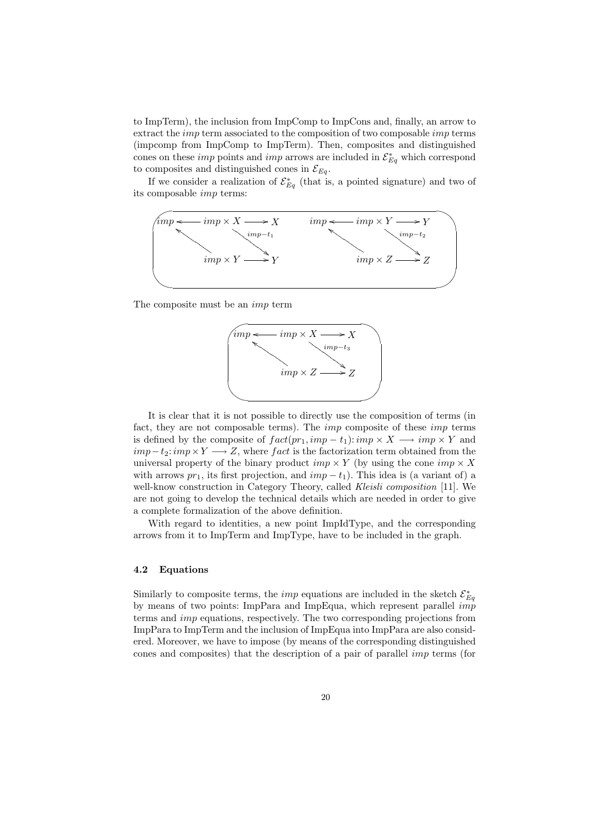to ImpTerm), the inclusion from ImpComp to ImpCons and, finally, an arrow to extract the *imp* term associated to the composition of two composable *imp* terms (impcomp from ImpComp to ImpTerm). Then, composites and distinguished cones on these *imp* points and *imp* arrows are included in  $\mathcal{E}_{Eq}^{*}$  which correspond to composites and distinguished cones in  $\mathcal{E}_{Eq}$ .

If we consider a realization of  $\mathcal{E}_{Eq}^*$  (that is, a pointed signature) and two of its composable imp terms:



The composite must be an imp term



It is clear that it is not possible to directly use the composition of terms (in fact, they are not composable terms). The *imp* composite of these *imp* terms is defined by the composite of  $fact(pr_1, imp - t_1):imp \times X \longrightarrow imp \times Y$  and  $imp-t_2:imp\times Y\longrightarrow Z$ , where fact is the factorization term obtained from the universal property of the binary product  $imp \times Y$  (by using the cone  $imp \times X$ with arrows  $pr_1$ , its first projection, and  $imp-t_1$ ). This idea is (a variant of) a well-know construction in Category Theory, called *Kleisli composition* [11]. We are not going to develop the technical details which are needed in order to give a complete formalization of the above definition.

With regard to identities, a new point ImpIdType, and the corresponding arrows from it to ImpTerm and ImpType, have to be included in the graph.

### **4.2 Equations**

Similarly to composite terms, the *imp* equations are included in the sketch  $\mathcal{E}_{Eq}^*$ by means of two points: ImpPara and ImpEqua, which represent parallel  $\overrightarrow{imp}$ terms and imp equations, respectively. The two corresponding projections from ImpPara to ImpTerm and the inclusion of ImpEqua into ImpPara are also considered. Moreover, we have to impose (by means of the corresponding distinguished cones and composites) that the description of a pair of parallel imp terms (for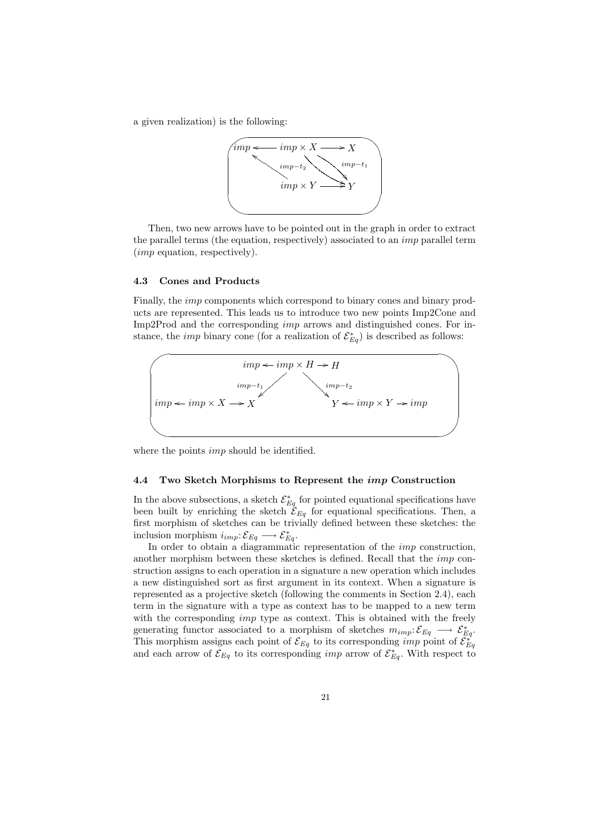a given realization) is the following:



Then, two new arrows have to be pointed out in the graph in order to extract the parallel terms (the equation, respectively) associated to an imp parallel term (imp equation, respectively).

### **4.3 Cones and Products**

Finally, the *imp* components which correspond to binary cones and binary products are represented. This leads us to introduce two new points Imp2Cone and Imp2Prod and the corresponding imp arrows and distinguished cones. For instance, the *imp* binary cone (for a realization of  $\mathcal{E}_{Eq}^{*}$ ) is described as follows:



where the points *imp* should be identified.

### **4.4 Two Sketch Morphisms to Represent the** *imp* **Construction**

In the above subsections, a sketch  $\mathcal{E}_{Eq}^*$  for pointed equational specifications have been built by enriching the sketch  $\mathcal{E}_{Eq}$  for equational specifications. Then, a first morphism of sketches can be trivially defined between these sketches: the inclusion morphism  $i_{imp}: \mathcal{E}_{Eq} \longrightarrow \mathcal{E}_{Eq}^*$ .

In order to obtain a diagrammatic representation of the *imp* construction, another morphism between these sketches is defined. Recall that the imp construction assigns to each operation in a signature a new operation which includes a new distinguished sort as first argument in its context. When a signature is represented as a projective sketch (following the comments in Section 2.4), each term in the signature with a type as context has to be mapped to a new term with the corresponding *imp* type as context. This is obtained with the freely generating functor associated to a morphism of sketches  $m_{imp}$ :  $\mathcal{E}_{Eq} \longrightarrow \mathcal{E}_{Eq}^*$ . This morphism assigns each point of  $\mathcal{E}_{Eq}$  to its corresponding *imp* point of  $\mathcal{E}_{Eq}^*$ and each arrow of  $\mathcal{E}_{Eq}$  to its corresponding *imp* arrow of  $\mathcal{E}_{Eq}^*$ . With respect to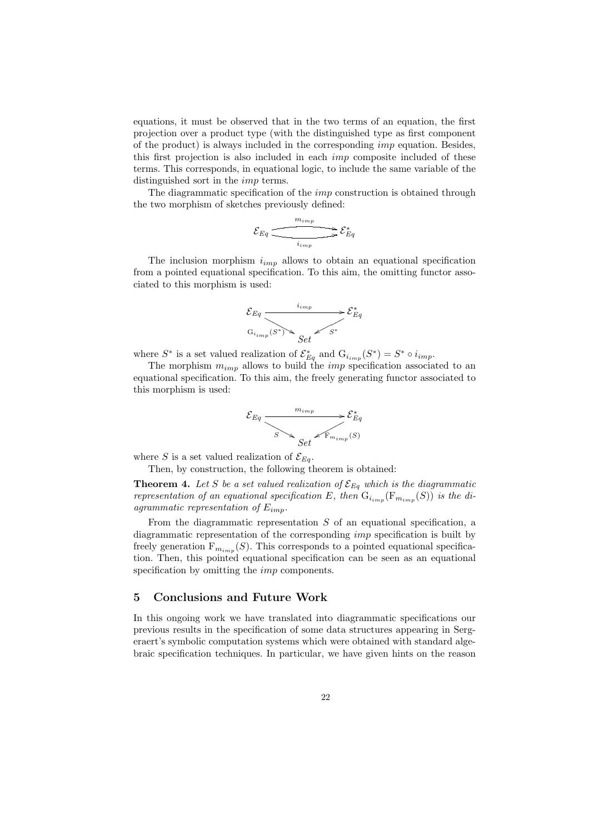equations, it must be observed that in the two terms of an equation, the first projection over a product type (with the distinguished type as first component of the product) is always included in the corresponding imp equation. Besides, this first projection is also included in each imp composite included of these terms. This corresponds, in equational logic, to include the same variable of the distinguished sort in the imp terms.

The diagrammatic specification of the *imp* construction is obtained through the two morphism of sketches previously defined:

$$
\mathcal{E}_{Eq} \xrightarrow{\begin{array}{c}\nm_{imp} \\
\hline\ni_{imp}\n\end{array}} \mathcal{E}_{Eq}^*
$$

The inclusion morphism  $i_{imp}$  allows to obtain an equational specification from a pointed equational specification. To this aim, the omitting functor associated to this morphism is used:



where  $S^*$  is a set valued realization of  $\mathcal{E}_{Eq}^*$  and  $G_{i_{imp}}(S^*) = S^* \circ i_{imp}$ .

The morphism  $m_{imp}$  allows to build the *imp* specification associated to an equational specification. To this aim, the freely generating functor associated to this morphism is used:



where S is a set valued realization of  $\mathcal{E}_{Eq}$ .

Then, by construction, the following theorem is obtained:

**Theorem 4.** Let S be a set valued realization of  $\mathcal{E}_{Eq}$  which is the diagrammatic *representation of an equational specification* E, then  $G_{i_{mm}}(F_{m_{imn}}(S))$  *is the diagrammatic representation of* Eimp*.*

From the diagrammatic representation  $S$  of an equational specification, a diagrammatic representation of the corresponding imp specification is built by freely generation  $F_{m_{imm}}(S)$ . This corresponds to a pointed equational specification. Then, this pointed equational specification can be seen as an equational specification by omitting the *imp* components.

## **5 Conclusions and Future Work**

In this ongoing work we have translated into diagrammatic specifications our previous results in the specification of some data structures appearing in Sergeraert's symbolic computation systems which were obtained with standard algebraic specification techniques. In particular, we have given hints on the reason